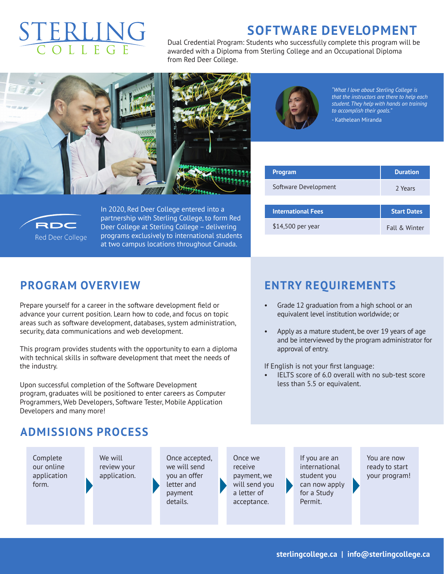# ERLIN

## **SOFTWARE DEVELOPMENT**

Dual Credential Program: Students who successfully complete this program will be awarded with a Diploma from Sterling College and an Occupational Diploma from Red Deer College.





*"What I love about Sterling College is that the instructors are there to help each student. They help with hands on training to accomplish their goals."*

- Kathelean Miranda

| <b>Program</b>            | <b>Duration</b>    |  |
|---------------------------|--------------------|--|
| Software Development      | 2 Years            |  |
|                           |                    |  |
| <b>International Fees</b> | <b>Start Dates</b> |  |
| \$14,500 per year         | Fall & Winter      |  |



In 2020, Red Deer College entered into a partnership with Sterling College, to form Red Deer College at Sterling College – delivering programs exclusively to international students at two campus locations throughout Canada.

#### **PROGRAM OVERVIEW**

Prepare yourself for a career in the software development field or advance your current position. Learn how to code, and focus on topic areas such as software development, databases, system administration, security, data communications and web development.

This program provides students with the opportunity to earn a diploma with technical skills in software development that meet the needs of the industry.

Upon successful completion of the Software Development program, graduates will be positioned to enter careers as Computer Programmers, Web Developers, Software Tester, Mobile Application Developers and many more!

# **ENTRY REQUIREMENTS**

- Grade 12 graduation from a high school or an equivalent level institution worldwide; or
- Apply as a mature student, be over 19 years of age and be interviewed by the program administrator for approval of entry.

If English is not your first language:

IELTS score of 6.0 overall with no sub-test score less than 5.5 or equivalent.

### **ADMISSIONS PROCESS**

Complete our online application form.

We will review your application.

Once accepted, we will send you an offer letter and payment details.

Once we receive payment, we will send you a letter of acceptance.

If you are an international student you can now apply for a Study Permit.

You are now ready to start your program!